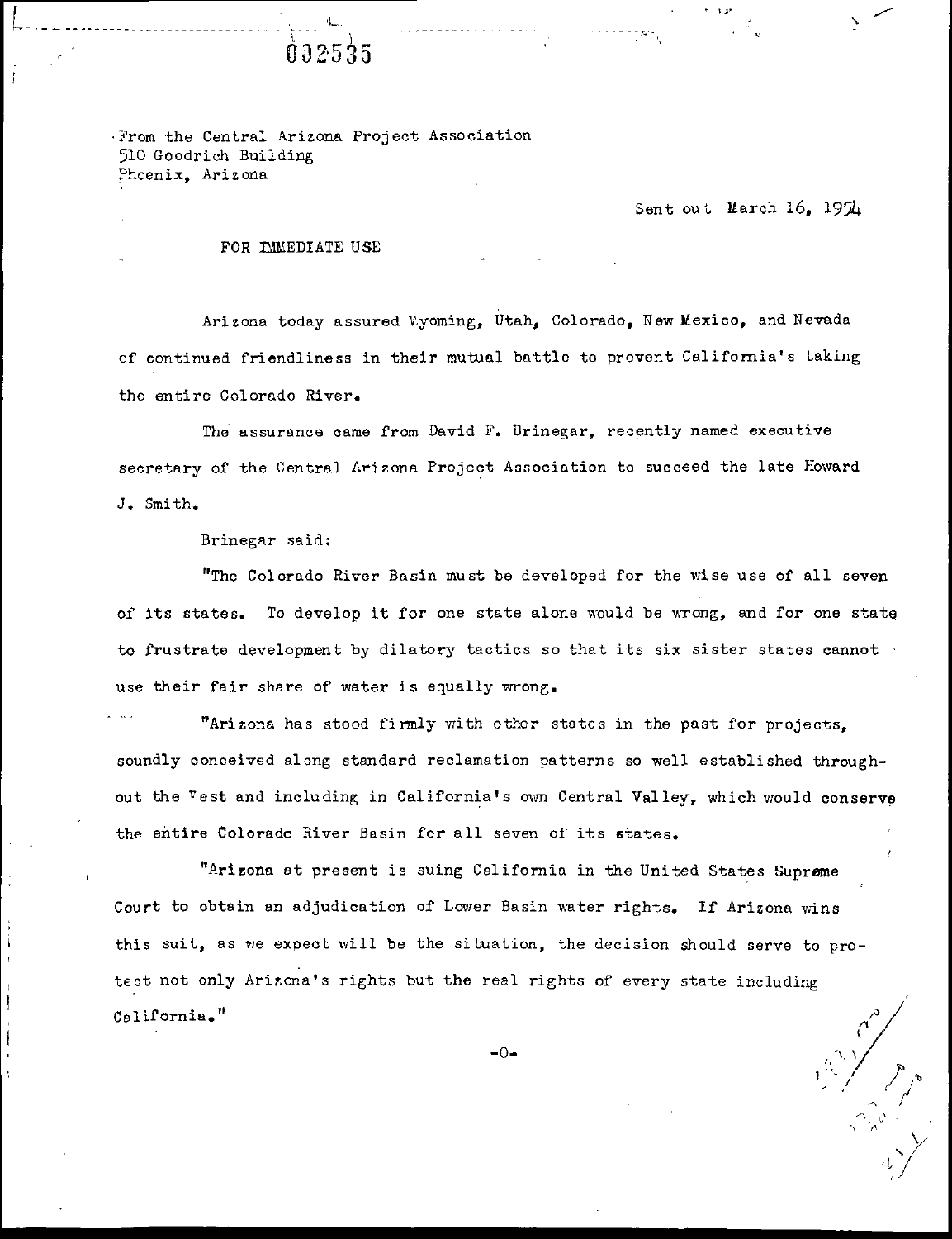From the Central Arizona Project Association 510 Goodrich Building Phoenix, Arizona

L.

002535

Sent out March 16, 1954

 $\mathbf{1}$   $\mathbf{1}$   $\mathbf{1}$ 

l'. ' v'

Y

 $\iota_{\iota}$ 

ر<br>ر

## FOR IMMEDIATE USE

|<br>|-<br>|--------

Arizona today assured Vyoming, Utah, Colorado, New Mexico, and Nevada of continued friendliness in their mutual battle to prevent California's taking the entire Colorado River.

The assurance oame from David F. Brinegar, recently named executive seoretary of the Central Arizona Project Association to succeed the late Howard J. Smith.

Brinegar said:

"The Colorado River Basin must be developed for the wise use of all seven of its states. To develop it for one state alone would be wrong, and for one state to frustrate development by dilatory tactics so that its six sister states cannot use their fair share of water is equally wrong.

Arizona has stood firmly with other states in the past for projects, soundly conceived along standard reclamation patterns so well established throughout the <sup>v</sup>est and including in California's own Central Valley, which would conserve the antire Colorado River Basin for all seven of its states.

Arizona at present is suing California in the United States Supreme Court to obtain an adjudication of Lower Basin water rights. If Arizona wins this suit, as we expeot will be the situation, the decision should serve to protect not only Arizona's rights but the real rights of every state including  $\sum_{i=1}^{n}$ California. "

 $-0-$